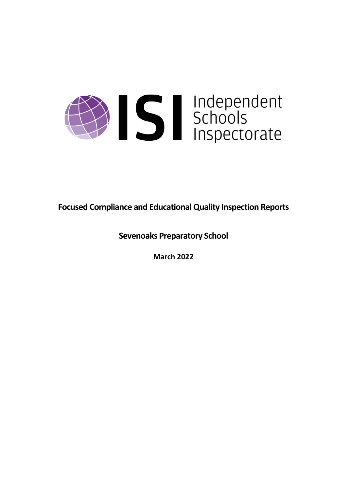

**Focused Compliance and EducationalQuality Inspection Reports**

**Sevenoaks Preparatory School**

**March 2022**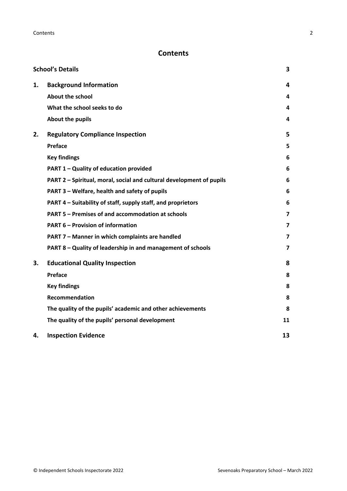# **Contents**

|    | <b>School's Details</b>                                              | 3  |
|----|----------------------------------------------------------------------|----|
| 1. | <b>Background Information</b>                                        | 4  |
|    | <b>About the school</b>                                              | 4  |
|    | What the school seeks to do                                          | 4  |
|    | About the pupils                                                     | 4  |
| 2. | <b>Regulatory Compliance Inspection</b>                              | 5  |
|    | Preface                                                              | 5  |
|    | <b>Key findings</b>                                                  | 6  |
|    | PART 1 - Quality of education provided                               | 6  |
|    | PART 2 - Spiritual, moral, social and cultural development of pupils | 6  |
|    | PART 3 - Welfare, health and safety of pupils                        | 6  |
|    | PART 4 – Suitability of staff, supply staff, and proprietors         | 6  |
|    | PART 5 - Premises of and accommodation at schools                    | 7  |
|    | <b>PART 6 - Provision of information</b>                             | 7  |
|    | PART 7 - Manner in which complaints are handled                      | 7  |
|    | PART 8 - Quality of leadership in and management of schools          | 7  |
| 3. | <b>Educational Quality Inspection</b>                                | 8  |
|    | Preface                                                              | 8  |
|    | <b>Key findings</b>                                                  | 8  |
|    | <b>Recommendation</b>                                                | 8  |
|    | The quality of the pupils' academic and other achievements           | 8  |
|    | The quality of the pupils' personal development                      | 11 |
| 4. | <b>Inspection Evidence</b>                                           | 13 |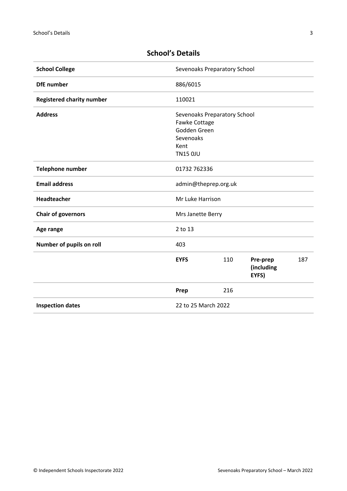| <b>School College</b>            | Sevenoaks Preparatory School                                                                          |     |                                 |     |
|----------------------------------|-------------------------------------------------------------------------------------------------------|-----|---------------------------------|-----|
| <b>DfE</b> number                | 886/6015                                                                                              |     |                                 |     |
| <b>Registered charity number</b> | 110021                                                                                                |     |                                 |     |
| <b>Address</b>                   | Sevenoaks Preparatory School<br>Fawke Cottage<br>Godden Green<br>Sevenoaks<br>Kent<br><b>TN15 0JU</b> |     |                                 |     |
| <b>Telephone number</b>          | 01732 762336                                                                                          |     |                                 |     |
| <b>Email address</b>             | admin@theprep.org.uk                                                                                  |     |                                 |     |
| Headteacher                      | Mr Luke Harrison                                                                                      |     |                                 |     |
| <b>Chair of governors</b>        | Mrs Janette Berry                                                                                     |     |                                 |     |
| Age range                        | 2 to 13                                                                                               |     |                                 |     |
| Number of pupils on roll         | 403                                                                                                   |     |                                 |     |
|                                  | <b>EYFS</b>                                                                                           | 110 | Pre-prep<br>(including<br>EYFS) | 187 |
|                                  | Prep                                                                                                  | 216 |                                 |     |
| <b>Inspection dates</b>          | 22 to 25 March 2022                                                                                   |     |                                 |     |

# <span id="page-2-0"></span>**School's Details**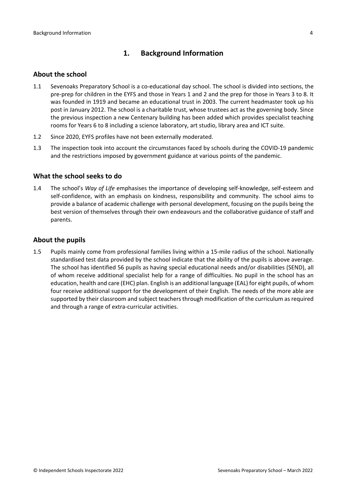## <span id="page-3-0"></span>**1. Background Information**

#### <span id="page-3-1"></span>**About the school**

- 1.1 Sevenoaks Preparatory School is a co-educational day school. The school is divided into sections, the pre-prep for children in the EYFS and those in Years 1 and 2 and the prep for those in Years 3 to 8. It was founded in 1919 and became an educational trust in 2003. The current headmaster took up his post in January 2012. The school is a charitable trust, whose trustees act as the governing body. Since the previous inspection a new Centenary building has been added which provides specialist teaching rooms for Years 6 to 8 including a science laboratory, art studio, library area and ICT suite.
- 1.2 Since 2020, EYFS profiles have not been externally moderated.
- 1.3 The inspection took into account the circumstances faced by schools during the COVID-19 pandemic and the restrictions imposed by government guidance at various points of the pandemic.

#### <span id="page-3-2"></span>**What the school seeks to do**

1.4 The school's *Way of Life* emphasises the importance of developing self-knowledge, self-esteem and self-confidence, with an emphasis on kindness, responsibility and community. The school aims to provide a balance of academic challenge with personal development, focusing on the pupils being the best version of themselves through their own endeavours and the collaborative guidance of staff and parents.

#### <span id="page-3-3"></span>**About the pupils**

1.5 Pupils mainly come from professional families living within a 15-mile radius of the school. Nationally standardised test data provided by the school indicate that the ability of the pupils is above average. The school has identified 56 pupils as having special educational needs and/or disabilities (SEND), all of whom receive additional specialist help for a range of difficulties. No pupil in the school has an education, health and care (EHC) plan. English is an additional language (EAL) for eight pupils, of whom four receive additional support for the development of their English. The needs of the more able are supported by their classroom and subject teachers through modification of the curriculum as required and through a range of extra-curricular activities.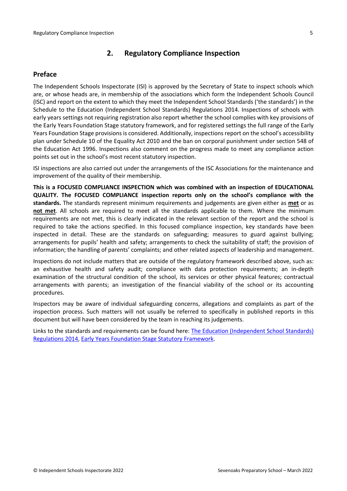## <span id="page-4-0"></span>**2. Regulatory Compliance Inspection**

## <span id="page-4-1"></span>**Preface**

The Independent Schools Inspectorate (ISI) is approved by the Secretary of State to inspect schools which are, or whose heads are, in membership of the associations which form the Independent Schools Council (ISC) and report on the extent to which they meet the Independent School Standards ('the standards') in the Schedule to the Education (Independent School Standards) Regulations 2014. Inspections of schools with early years settings not requiring registration also report whether the school complies with key provisions of the Early Years Foundation Stage statutory framework, and for registered settings the full range of the Early Years Foundation Stage provisions is considered. Additionally, inspections report on the school's accessibility plan under Schedule 10 of the Equality Act 2010 and the ban on corporal punishment under section 548 of the Education Act 1996. Inspections also comment on the progress made to meet any compliance action points set out in the school's most recent statutory inspection.

ISI inspections are also carried out under the arrangements of the ISC Associations for the maintenance and improvement of the quality of their membership.

**This is a FOCUSED COMPLIANCE INSPECTION which was combined with an inspection of EDUCATIONAL QUALITY. The FOCUSED COMPLIANCE inspection reports only on the school's compliance with the standards.** The standards represent minimum requirements and judgements are given either as **met** or as **not met**. All schools are required to meet all the standards applicable to them. Where the minimum requirements are not met, this is clearly indicated in the relevant section of the report and the school is required to take the actions specified. In this focused compliance inspection, key standards have been inspected in detail. These are the standards on safeguarding; measures to guard against bullying; arrangements for pupils' health and safety; arrangements to check the suitability of staff; the provision of information; the handling of parents' complaints; and other related aspects of leadership and management.

Inspections do not include matters that are outside of the regulatory framework described above, such as: an exhaustive health and safety audit; compliance with data protection requirements; an in-depth examination of the structural condition of the school, its services or other physical features; contractual arrangements with parents; an investigation of the financial viability of the school or its accounting procedures.

Inspectors may be aware of individual safeguarding concerns, allegations and complaints as part of the inspection process. Such matters will not usually be referred to specifically in published reports in this document but will have been considered by the team in reaching its judgements.

Links to the standards and requirements can be found here: The Education [\(Independent](http://www.legislation.gov.uk/uksi/2014/3283/contents/made) School Standards) [Regulations](http://www.legislation.gov.uk/uksi/2014/3283/contents/made) 2014, Early Years Foundation Stage Statutory [Framework.](https://www.gov.uk/government/publications/early-years-foundation-stage-framework--2)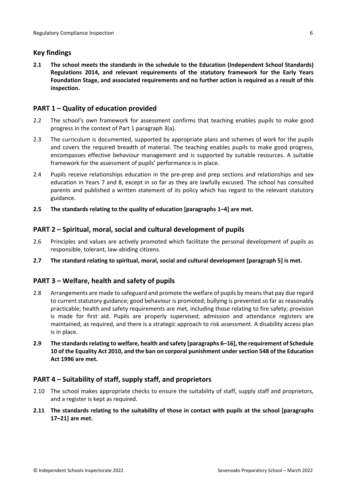## <span id="page-5-0"></span>**Key findings**

**2.1 The school meets the standards in the schedule to the Education (Independent School Standards) Regulations 2014, and relevant requirements of the statutory framework for the Early Years Foundation Stage, and associated requirements and no further action is required as a result of this inspection.**

## <span id="page-5-1"></span>**PART 1 – Quality of education provided**

- 2.2 The school's own framework for assessment confirms that teaching enables pupils to make good progress in the context of Part 1 paragraph 3(a).
- 2.3 The curriculum is documented, supported by appropriate plans and schemes of work for the pupils and covers the required breadth of material. The teaching enables pupils to make good progress, encompasses effective behaviour management and is supported by suitable resources. A suitable framework for the assessment of pupils' performance is in place.
- 2.4 Pupils receive relationships education in the pre-prep and prep sections and relationships and sex education in Years 7 and 8, except in so far as they are lawfully excused. The school has consulted parents and published a written statement of its policy which has regard to the relevant statutory guidance.
- **2.5 The standards relating to the quality of education [paragraphs 1–4] are met.**

## <span id="page-5-2"></span>**PART 2 – Spiritual, moral, social and cultural development of pupils**

- 2.6 Principles and values are actively promoted which facilitate the personal development of pupils as responsible, tolerant, law-abiding citizens.
- **2.7 The standard relating to spiritual, moral, social and cultural development [paragraph 5] is met.**

## <span id="page-5-3"></span>**PART 3 – Welfare, health and safety of pupils**

- 2.8 Arrangements are made to safeguard and promote the welfare of pupils by means that pay due regard to current statutory guidance; good behaviour is promoted; bullying is prevented so far as reasonably practicable; health and safety requirements are met, including those relating to fire safety; provision is made for first aid. Pupils are properly supervised; admission and attendance registers are maintained, as required, and there is a strategic approach to risk assessment. A disability access plan is in place.
- **2.9 The standardsrelating to welfare, health and safety [paragraphs 6–16], the requirement of Schedule 10 of the Equality Act 2010, and the ban on corporal punishment undersection 548 of the Education Act 1996 are met.**

## <span id="page-5-4"></span>**PART 4 – Suitability of staff, supply staff, and proprietors**

- 2.10 The school makes appropriate checks to ensure the suitability of staff, supply staff and proprietors, and a register is kept as required.
- **2.11 The standards relating to the suitability of those in contact with pupils at the school [paragraphs 17–21] are met.**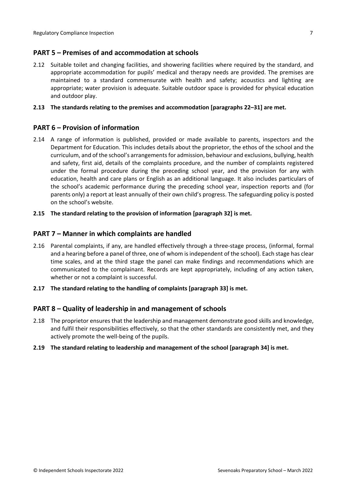## <span id="page-6-0"></span>**PART 5 – Premises of and accommodation at schools**

2.12 Suitable toilet and changing facilities, and showering facilities where required by the standard, and appropriate accommodation for pupils' medical and therapy needs are provided. The premises are maintained to a standard commensurate with health and safety; acoustics and lighting are appropriate; water provision is adequate. Suitable outdoor space is provided for physical education and outdoor play.

#### **2.13 The standards relating to the premises and accommodation [paragraphs 22–31] are met.**

## <span id="page-6-1"></span>**PART 6 – Provision of information**

- 2.14 A range of information is published, provided or made available to parents, inspectors and the Department for Education. This includes details about the proprietor, the ethos of the school and the curriculum, and of the school's arrangementsfor admission, behaviour and exclusions, bullying, health and safety, first aid, details of the complaints procedure, and the number of complaints registered under the formal procedure during the preceding school year, and the provision for any with education, health and care plans or English as an additional language. It also includes particulars of the school's academic performance during the preceding school year, inspection reports and (for parents only) a report at least annually of their own child's progress. The safeguarding policy is posted on the school's website.
- **2.15 The standard relating to the provision of information [paragraph 32] is met.**

#### <span id="page-6-2"></span>**PART 7 – Manner in which complaints are handled**

- 2.16 Parental complaints, if any, are handled effectively through a three-stage process, (informal, formal and a hearing before a panel of three, one of whom is independent of the school). Each stage has clear time scales, and at the third stage the panel can make findings and recommendations which are communicated to the complainant. Records are kept appropriately, including of any action taken, whether or not a complaint is successful.
- **2.17 The standard relating to the handling of complaints [paragraph 33] is met.**

## <span id="page-6-3"></span>**PART 8 – Quality of leadership in and management of schools**

- 2.18 The proprietor ensures that the leadership and management demonstrate good skills and knowledge, and fulfil their responsibilities effectively, so that the other standards are consistently met, and they actively promote the well-being of the pupils.
- **2.19 The standard relating to leadership and management of the school [paragraph 34] is met.**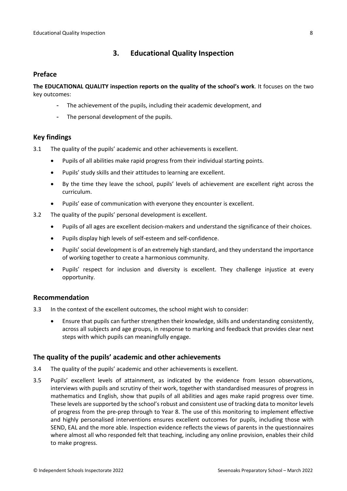## <span id="page-7-0"></span>**3. Educational Quality Inspection**

## <span id="page-7-1"></span>**Preface**

**The EDUCATIONAL QUALITY inspection reports on the quality of the school's work**. It focuses on the two key outcomes:

- The achievement of the pupils, including their academic development, and
- The personal development of the pupils.

## <span id="page-7-2"></span>**Key findings**

- 3.1 The quality of the pupils' academic and other achievements is excellent.
	- Pupils of all abilities make rapid progress from their individual starting points.
	- Pupils' study skills and their attitudes to learning are excellent.
	- By the time they leave the school, pupils' levels of achievement are excellent right across the curriculum.
	- Pupils' ease of communication with everyone they encounter is excellent.
- 3.2 The quality of the pupils' personal development is excellent.
	- Pupils of all ages are excellent decision-makers and understand the significance of their choices.
	- Pupils display high levels of self-esteem and self-confidence.
	- Pupils' social development is of an extremely high standard, and they understand the importance of working together to create a harmonious community.
	- Pupils' respect for inclusion and diversity is excellent. They challenge injustice at every opportunity.

## <span id="page-7-3"></span>**Recommendation**

- 3.3 In the context of the excellent outcomes, the school might wish to consider:
	- Ensure that pupils can further strengthen their knowledge, skills and understanding consistently, across all subjects and age groups, in response to marking and feedback that provides clear next steps with which pupils can meaningfully engage.

## <span id="page-7-4"></span>**The quality of the pupils' academic and other achievements**

- 3.4 The quality of the pupils' academic and other achievements is excellent.
- 3.5 Pupils' excellent levels of attainment, as indicated by the evidence from lesson observations, interviews with pupils and scrutiny of their work, together with standardised measures of progress in mathematics and English, show that pupils of all abilities and ages make rapid progress over time. These levels are supported by the school'srobust and consistent use of tracking data to monitor levels of progress from the pre-prep through to Year 8. The use of this monitoring to implement effective and highly personalised interventions ensures excellent outcomes for pupils, including those with SEND, EAL and the more able. Inspection evidence reflects the views of parents in the questionnaires where almost all who responded felt that teaching, including any online provision, enables their child to make progress.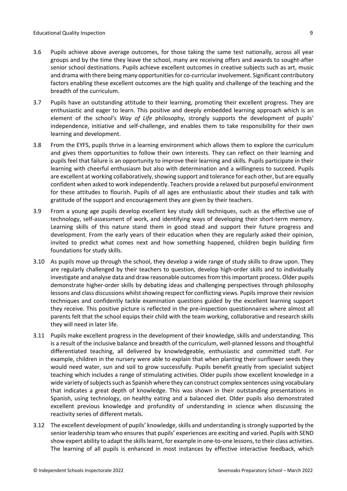- 3.6 Pupils achieve above average outcomes, for those taking the same test nationally, across all year groups and by the time they leave the school, many are receiving offers and awards to sought-after senior school destinations. Pupils achieve excellent outcomes in creative subjects such as art, music and drama with there being many opportunities for co-curricular involvement. Significant contributory factors enabling these excellent outcomes are the high quality and challenge of the teaching and the breadth of the curriculum.
- 3.7 Pupils have an outstanding attitude to their learning, promoting their excellent progress. They are enthusiastic and eager to learn. This positive and deeply embedded learning approach which is an element of the school's *Way of Life* philosophy, strongly supports the development of pupils' independence, initiative and self-challenge, and enables them to take responsibility for their own learning and development.
- 3.8 From the EYFS, pupils thrive in a learning environment which allows them to explore the curriculum and gives them opportunities to follow their own interests. They can reflect on their learning and pupils feel that failure is an opportunity to improve their learning and skills. Pupils participate in their learning with cheerful enthusiasm but also with determination and a willingness to succeed. Pupils are excellent at working collaboratively, showing support and tolerance for each other, but are equally confident when asked to work independently. Teachers provide a relaxed but purposeful environment for these attitudes to flourish. Pupils of all ages are enthusiastic about their studies and talk with gratitude of the support and encouragement they are given by their teachers.
- 3.9 From a young age pupils develop excellent key study skill techniques, such as the effective use of technology, self-assessment of work, and identifying ways of developing their short-term memory. Learning skills of this nature stand them in good stead and support their future progress and development. From the early years of their education when they are regularly asked their opinion, invited to predict what comes next and how something happened, children begin building firm foundations for study skills.
- 3.10 As pupils move up through the school, they develop a wide range of study skills to draw upon. They are regularly challenged by their teachers to question, develop high-order skills and to individually investigate and analyse data and draw reasonable outcomes from this important process. Older pupils demonstrate higher-order skills by debating ideas and challenging perspectives through philosophy lessons and class discussions whilst showing respect for conflicting views. Pupils improve their revision techniques and confidently tackle examination questions guided by the excellent learning support they receive. This positive picture is reflected in the pre-inspection questionnaires where almost all parents felt that the school equips their child with the team working, collaborative and research skills they will need in later life.
- 3.11 Pupils make excellent progress in the development of their knowledge, skills and understanding. This is a result of the inclusive balance and breadth of the curriculum, well-planned lessons and thoughtful differentiated teaching, all delivered by knowledgeable, enthusiastic and committed staff. For example, children in the nursery were able to explain that when planting their sunflower seeds they would need water, sun and soil to grow successfully. Pupils benefit greatly from specialist subject teaching which includes a range of stimulating activities. Older pupils show excellent knowledge in a wide variety of subjects such as Spanish where they can construct complex sentences using vocabulary that indicates a great depth of knowledge. This was shown in their outstanding presentations in Spanish, using technology, on healthy eating and a balanced diet. Older pupils also demonstrated excellent previous knowledge and profundity of understanding in science when discussing the reactivity series of different metals.
- 3.12 The excellent development of pupils' knowledge, skills and understanding is strongly supported by the senior leadership team who ensures that pupils' experiences are exciting and varied. Pupils with SEND show expert ability to adapt the skills learnt, for example in one-to-one lessons, to their class activities. The learning of all pupils is enhanced in most instances by effective interactive feedback, which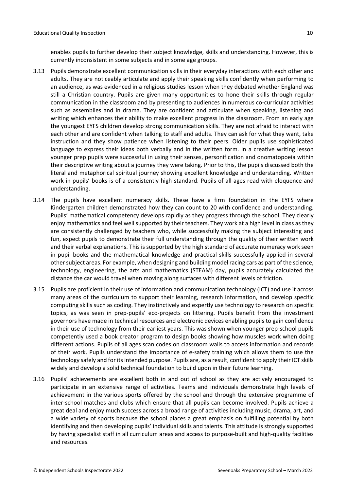enables pupils to further develop their subject knowledge, skills and understanding. However, this is currently inconsistent in some subjects and in some age groups.

- 3.13 Pupils demonstrate excellent communication skills in their everyday interactions with each other and adults. They are noticeably articulate and apply their speaking skills confidently when performing to an audience, as was evidenced in a religious studies lesson when they debated whether England was still a Christian country. Pupils are given many opportunities to hone their skills through regular communication in the classroom and by presenting to audiences in numerous co-curricular activities such as assemblies and in drama. They are confident and articulate when speaking, listening and writing which enhances their ability to make excellent progress in the classroom. From an early age the youngest EYFS children develop strong communication skills. They are not afraid to interact with each other and are confident when talking to staff and adults. They can ask for what they want, take instruction and they show patience when listening to their peers. Older pupils use sophisticated language to express their ideas both verbally and in the written form. In a creative writing lesson younger prep pupils were successful in using their senses, personification and onomatopoeia within their descriptive writing about a journey they were taking. Prior to this, the pupils discussed both the literal and metaphorical spiritual journey showing excellent knowledge and understanding. Written work in pupils' books is of a consistently high standard. Pupils of all ages read with eloquence and understanding.
- 3.14 The pupils have excellent numeracy skills. These have a firm foundation in the EYFS where Kindergarten children demonstrated how they can count to 20 with confidence and understanding. Pupils' mathematical competency develops rapidly as they progress through the school. They clearly enjoy mathematics and feel well supported by their teachers. They work at a high level in class as they are consistently challenged by teachers who, while successfully making the subject interesting and fun, expect pupils to demonstrate their full understanding through the quality of their written work and their verbal explanations. This is supported by the high standard of accurate numeracy work seen in pupil books and the mathematical knowledge and practical skills successfully applied in several other subject areas. For example, when designing and building model racing cars as part of the science, technology, engineering, the arts and mathematics (STEAM) day, pupils accurately calculated the distance the car would travel when moving along surfaces with different levels of friction.
- 3.15 Pupils are proficient in their use of information and communication technology (ICT) and use it across many areas of the curriculum to support their learning, research information, and develop specific computing skills such as coding. They instinctively and expertly use technology to research on specific topics, as was seen in prep-pupils' eco-projects on littering. Pupils benefit from the investment governors have made in technical resources and electronic devices enabling pupils to gain confidence in their use of technology from their earliest years. This was shown when younger prep-school pupils competently used a book creator program to design books showing how muscles work when doing different actions. Pupils of all ages scan codes on classroom walls to access information and records of their work. Pupils understand the importance of e-safety training which allows them to use the technology safely and for its intended purpose. Pupils are, as a result, confident to apply their ICT skills widely and develop a solid technical foundation to build upon in their future learning.
- 3.16 Pupils' achievements are excellent both in and out of school as they are actively encouraged to participate in an extensive range of activities. Teams and individuals demonstrate high levels of achievement in the various sports offered by the school and through the extensive programme of inter-school matches and clubs which ensure that all pupils can become involved. Pupils achieve a great deal and enjoy much success across a broad range of activities including music, drama, art, and a wide variety of sports because the school places a great emphasis on fulfilling potential by both identifying and then developing pupils' individual skills and talents. This attitude is strongly supported by having specialist staff in all curriculum areas and access to purpose-built and high-quality facilities and resources.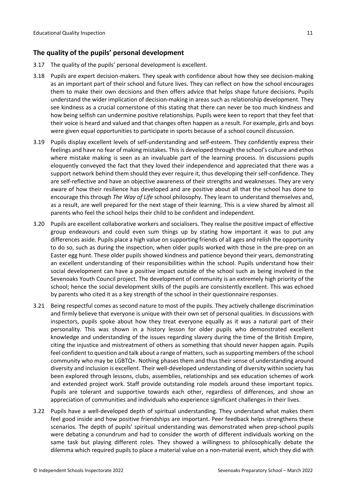## <span id="page-10-0"></span>**The quality of the pupils' personal development**

- 3.17 The quality of the pupils' personal development is excellent.
- 3.18 Pupils are expert decision-makers. They speak with confidence about how they see decision-making as an important part of their school and future lives. They can reflect on how the school encourages them to make their own decisions and then offers advice that helps shape future decisions. Pupils understand the wider implication of decision-making in areas such as relationship development. They see kindness as a crucial cornerstone of this stating that there can never be too much kindness and how being selfish can undermine positive relationships. Pupils were keen to report that they feel that their voice is heard and valued and that changes often happen as a result. For example, girls and boys were given equal opportunities to participate in sports because of a school council discussion.
- 3.19 Pupils display excellent levels of self-understanding and self-esteem. They confidently express their feelings and have no fear of making mistakes. This is developed through the school's culture and ethos where mistake making is seen as an invaluable part of the learning process. In discussions pupils eloquently conveyed the fact that they loved their independence and appreciated that there was a support network behind them should they ever require it, thus developing their self-confidence. They are self-reflective and have an objective awareness of their strengths and weaknesses. They are very aware of how their resilience has developed and are positive about all that the school has done to encourage this through *The Way of Life* school philosophy. They learn to understand themselves and, as a result, are well prepared for the next stage of their learning. This is a view shared by almost all parents who feel the school helps their child to be confident and independent.
- 3.20 Pupils are excellent collaborative workers and socialisers. They realise the positive impact of effective group endeavours and could even sum things up by stating how important it was to put any differences aside. Pupils place a high value on supporting friends of all ages and relish the opportunity to do so, such as during the inspection, when older pupils worked with those in the pre-prep on an Easter egg hunt. These older pupils showed kindness and patience beyond their years, demonstrating an excellent understanding of their responsibilities within the school. Pupils understand how their social development can have a positive impact outside of the school such as being involved in the Sevenoaks Youth Council project. The development of community is an extremely high priority of the school; hence the social development skills of the pupils are consistently excellent. This was echoed by parents who cited it as a key strength of the school in their questionnaire responses.
- 3.21 Being respectful comes as second nature to most of the pupils. They actively challenge discrimination and firmly believe that everyone is unique with their own set of personal qualities. In discussions with inspectors, pupils spoke about how they treat everyone equally as it was a natural part of their personality. This was shown in a history lesson for older pupils who demonstrated excellent knowledge and understanding of the issues regarding slavery during the time of the British Empire, citing the injustice and mistreatment of others as something that should never happen again. Pupils feel confident to question and talk about a range of matters, such as supporting members of the school community who may be LGBTQ+. Nothing phases them and thus their sense of understanding around diversity and inclusion is excellent. Their well-developed understanding of diversity within society has been explored through lessons, clubs, assemblies, relationships and sex education schemes of work and extended project work. Staff provide outstanding role models around these important topics. Pupils are tolerant and supportive towards each other, regardless of differences, and show an appreciation of communities and individuals who experience significant challenges in their lives.
- 3.22 Pupils have a well-developed depth of spiritual understanding. They understand what makes them feel good inside and how positive friendships are important. Peer feedback helps strengthens these scenarios. The depth of pupils' spiritual understanding was demonstrated when prep-school pupils were debating a conundrum and had to consider the worth of different individuals working on the same task but playing different roles. They showed a willingness to philosophically debate the dilemma which required pupils to place a material value on a non-material event, which they did with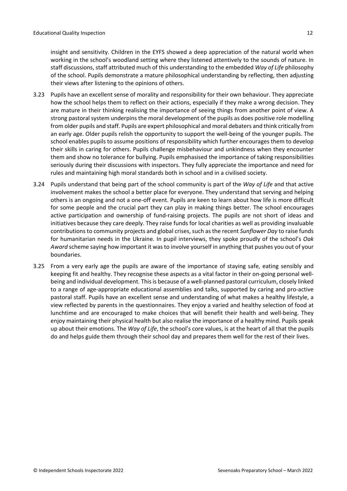insight and sensitivity. Children in the EYFS showed a deep appreciation of the natural world when working in the school's woodland setting where they listened attentively to the sounds of nature. In staff discussions, staff attributed much of this understanding to the embedded *Way of Life* philosophy of the school. Pupils demonstrate a mature philosophical understanding by reflecting, then adjusting their views after listening to the opinions of others.

- 3.23 Pupils have an excellent sense of morality and responsibility for their own behaviour. They appreciate how the school helps them to reflect on their actions, especially if they make a wrong decision. They are mature in their thinking realising the importance of seeing things from another point of view. A strong pastoral system underpins the moral development of the pupils as does positive role modelling from older pupils and staff. Pupils are expert philosophical and moral debaters and think critically from an early age. Older pupils relish the opportunity to support the well-being of the younger pupils. The school enables pupils to assume positions of responsibility which further encourages them to develop their skills in caring for others. Pupils challenge misbehaviour and unkindness when they encounter them and show no tolerance for bullying. Pupils emphasised the importance of taking responsibilities seriously during their discussions with inspectors. They fully appreciate the importance and need for rules and maintaining high moral standards both in school and in a civilised society.
- 3.24 Pupils understand that being part of the school community is part of the *Way of Life* and that active involvement makes the school a better place for everyone. They understand that serving and helping others is an ongoing and not a one-off event. Pupils are keen to learn about how life is more difficult for some people and the crucial part they can play in making things better. The school encourages active participation and ownership of fund-raising projects. The pupils are not short of ideas and initiatives because they care deeply. They raise funds for local charities as well as providing invaluable contributions to community projects and global crises, such as the recent *Sunflower Day* to raise funds for humanitarian needs in the Ukraine. In pupil interviews, they spoke proudly of the school's *Oak* Award scheme saying how important it was to involve yourself in anything that pushes you out of your boundaries.
- 3.25 From a very early age the pupils are aware of the importance of staying safe, eating sensibly and keeping fit and healthy. They recognise these aspects as a vital factor in their on-going personal wellbeing and individual development. Thisis because of a well-planned pastoral curriculum, closely linked to a range of age-appropriate educational assemblies and talks, supported by caring and pro-active pastoral staff. Pupils have an excellent sense and understanding of what makes a healthy lifestyle, a view reflected by parents in the questionnaires. They enjoy a varied and healthy selection of food at lunchtime and are encouraged to make choices that will benefit their health and well-being. They enjoy maintaining their physical health but also realise the importance of a healthy mind. Pupils speak up about their emotions. The *Way of Life*, the school's core values, is at the heart of all that the pupils do and helps guide them through their school day and prepares them well for the rest of their lives.